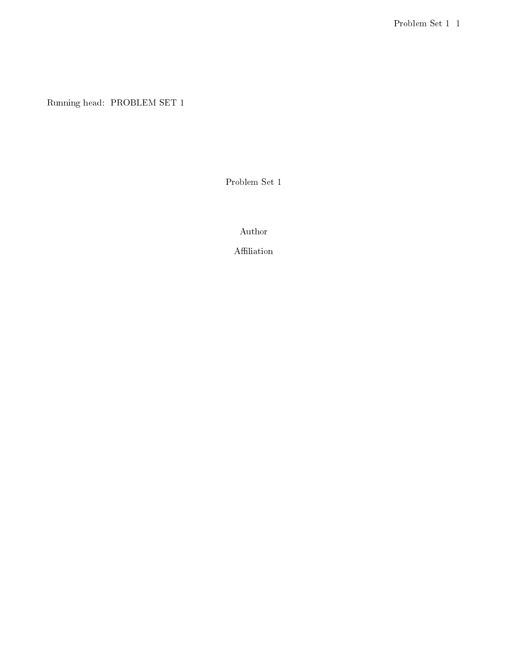Running head: PROBLEM SET 1

Problem Set 1

Author

Affiliation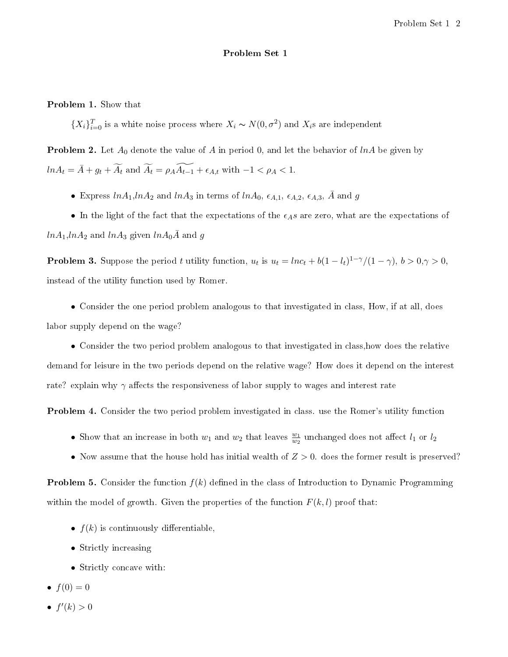## Problem Set 1

Problem 1. Show that

 ${X_i}_{i=0}^T$  is a white noise process where  $X_i \sim N(0, \sigma^2)$  and  $X_i$ s are independent

**Problem 2.** Let  $A_0$  denote the value of A in period 0, and let the behavior of lnA be given by  $ln A_t = \overline{A} + g_t + \widetilde{A_t}$  and  $\widetilde{A_t} = \rho_A \widetilde{A_{t-1}} + \epsilon_{A,t}$  with  $-1 < \rho_A < 1$ .

• Express  $ln A_1$ ,  $ln A_2$  and  $ln A_3$  in terms of  $ln A_0$ ,  $\epsilon_{A,1}$ ,  $\epsilon_{A,2}$ ,  $\epsilon_{A,3}$ ,  $\bar{A}$  and g

• In the light of the fact that the expectations of the  $\epsilon_{AB}$  are zero, what are the expectations of  $ln A_1$ ,  $ln A_2$  and  $ln A_3$  given  $ln A_0 \overline{A}$  and  $g$ 

**Problem 3.** Suppose the period t utility function,  $u_t$  is  $u_t = lnc_t + b(1 - l_t)^{1-\gamma}/(1-\gamma)$ ,  $b > 0, \gamma > 0$ , instead of the utility function used by Romer.

• Consider the one period problem analogous to that investigated in class, How, if at all, does labor supply depend on the wage?

• Consider the two period problem analogous to that investigated in class,how does the relative demand for leisure in the two periods depend on the relative wage? How does it depend on the interest rate? explain why  $\gamma$  affects the responsiveness of labor supply to wages and interest rate

Problem 4. Consider the two period problem investigated in class. use the Romer's utility function

- Show that an increase in both  $w_1$  and  $w_2$  that leaves  $\frac{w_1}{w_2}$  unchanged does not affect  $l_1$  or  $l_2$
- Now assume that the house hold has initial wealth of  $Z > 0$ . does the former result is preserved?

**Problem 5.** Consider the function  $f(k)$  defined in the class of Introduction to Dynamic Programming within the model of growth. Given the properties of the function  $F(k, l)$  proof that:

- $f(k)$  is continuously differentiable,
- Strictly increasing
- Strictly concave with:
- $f(0) = 0$
- $f'(k) > 0$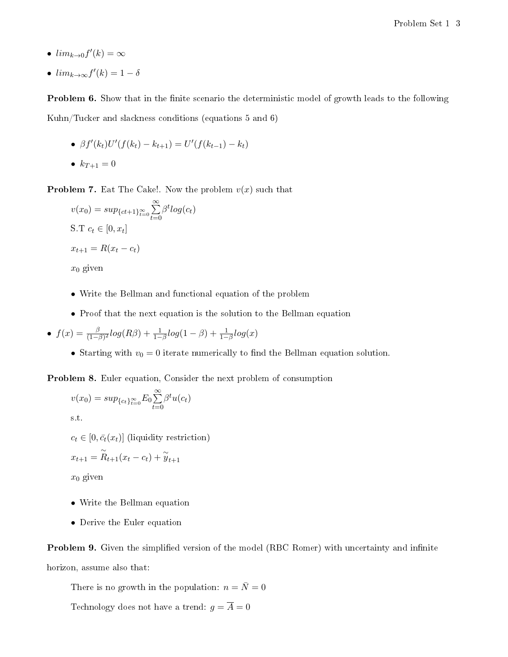- $lim_{k\to 0}f'(k)=\infty$
- $\lim_{k \to \infty} f'(k) = 1 \delta$

**Problem 6.** Show that in the finite scenario the deterministic model of growth leads to the following Kuhn/Tucker and slackness conditions (equations 5 and 6)

- $\beta f'(k_t)U'(f(k_t) k_{t+1}) = U'(f(k_{t-1}) k_t)$
- $k_{T+1} = 0$

**Problem 7.** Eat The Cake!. Now the problem  $v(x)$  such that

$$
v(x_0) = \sup_{\{ct+1\}_{t=0}^{\infty}} \sum_{t=0}^{\infty} \beta^t \log(c_t)
$$
  
S.T  $c_t \in [0, x_t]$   

$$
x_{t+1} = R(x_t - c_t)
$$
  
 $x_0$  given

- Write the Bellman and functional equation of the problem
- Proof that the next equation is the solution to the Bellman equation

• 
$$
f(x) = \frac{\beta}{(1-\beta)^2} log(R\beta) + \frac{1}{1-\beta} log(1-\beta) + \frac{1}{1-\beta} log(x)
$$

• Starting with  $v_0 = 0$  iterate numerically to find the Bellman equation solution.

Problem 8. Euler equation, Consider the next problem of consumption

$$
v(x_0) = \sup_{\{c_t\}_{t=0}^{\infty}} E_0 \sum_{t=0}^{\infty} \beta^t u(c_t)
$$
  
s.t.

 $c_t \in [0, \bar{c}_t(x_t)]$  (liquidity restriction)

$$
x_{t+1} = \tilde{R}_{t+1}(x_t - c_t) + \tilde{y}_{t+1}
$$

 $x_0$  given

- Write the Bellman equation
- Derive the Euler equation

**Problem 9.** Given the simplified version of the model (RBC Romer) with uncertainty and infinite horizon, assume also that:

There is no growth in the population:  $n = \overline{N} = 0$ 

Technology does not have a trend:  $g=\overline{A}=0$